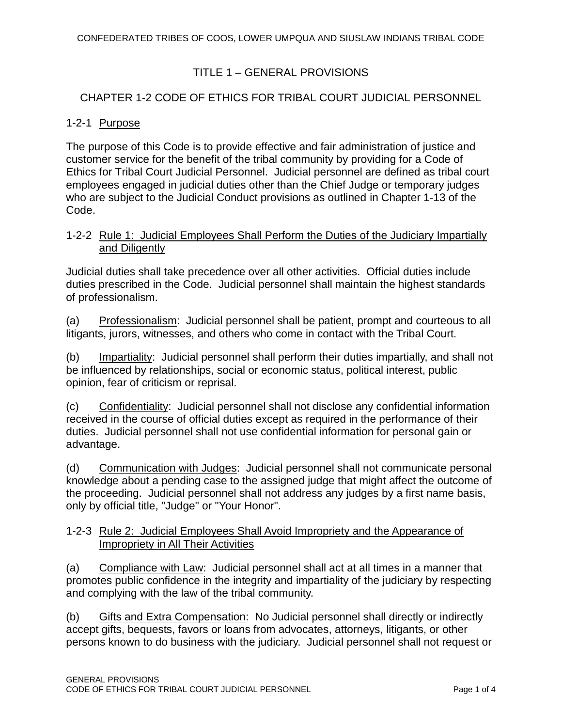## TITLE 1 – GENERAL PROVISIONS

## CHAPTER 1-2 CODE OF ETHICS FOR TRIBAL COURT JUDICIAL PERSONNEL

### 1-2-1 Purpose

The purpose of this Code is to provide effective and fair administration of justice and customer service for the benefit of the tribal community by providing for a Code of Ethics for Tribal Court Judicial Personnel. Judicial personnel are defined as tribal court employees engaged in judicial duties other than the Chief Judge or temporary judges who are subject to the Judicial Conduct provisions as outlined in Chapter 1-13 of the Code.

### 1-2-2 Rule 1: Judicial Employees Shall Perform the Duties of the Judiciary Impartially and Diligently

Judicial duties shall take precedence over all other activities. Official duties include duties prescribed in the Code. Judicial personnel shall maintain the highest standards of professionalism.

(a) Professionalism: Judicial personnel shall be patient, prompt and courteous to all litigants, jurors, witnesses, and others who come in contact with the Tribal Court.

(b) Impartiality: Judicial personnel shall perform their duties impartially, and shall not be influenced by relationships, social or economic status, political interest, public opinion, fear of criticism or reprisal.

(c) Confidentiality: Judicial personnel shall not disclose any confidential information received in the course of official duties except as required in the performance of their duties. Judicial personnel shall not use confidential information for personal gain or advantage.

(d) Communication with Judges: Judicial personnel shall not communicate personal knowledge about a pending case to the assigned judge that might affect the outcome of the proceeding. Judicial personnel shall not address any judges by a first name basis, only by official title, "Judge" or "Your Honor".

## 1-2-3 Rule 2: Judicial Employees Shall Avoid Impropriety and the Appearance of Impropriety in All Their Activities

(a) Compliance with Law: Judicial personnel shall act at all times in a manner that promotes public confidence in the integrity and impartiality of the judiciary by respecting and complying with the law of the tribal community.

(b) Gifts and Extra Compensation: No Judicial personnel shall directly or indirectly accept gifts, bequests, favors or loans from advocates, attorneys, litigants, or other persons known to do business with the judiciary. Judicial personnel shall not request or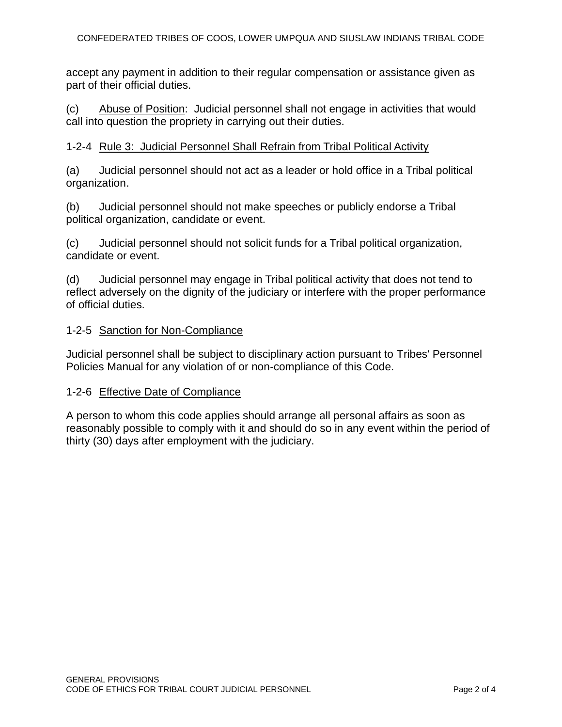accept any payment in addition to their regular compensation or assistance given as part of their official duties.

(c) Abuse of Position: Judicial personnel shall not engage in activities that would call into question the propriety in carrying out their duties.

#### 1-2-4 Rule 3: Judicial Personnel Shall Refrain from Tribal Political Activity

(a) Judicial personnel should not act as a leader or hold office in a Tribal political organization.

(b) Judicial personnel should not make speeches or publicly endorse a Tribal political organization, candidate or event.

(c) Judicial personnel should not solicit funds for a Tribal political organization, candidate or event.

(d) Judicial personnel may engage in Tribal political activity that does not tend to reflect adversely on the dignity of the judiciary or interfere with the proper performance of official duties.

#### 1-2-5 Sanction for Non-Compliance

Judicial personnel shall be subject to disciplinary action pursuant to Tribes' Personnel Policies Manual for any violation of or non-compliance of this Code.

#### 1-2-6 Effective Date of Compliance

A person to whom this code applies should arrange all personal affairs as soon as reasonably possible to comply with it and should do so in any event within the period of thirty (30) days after employment with the judiciary.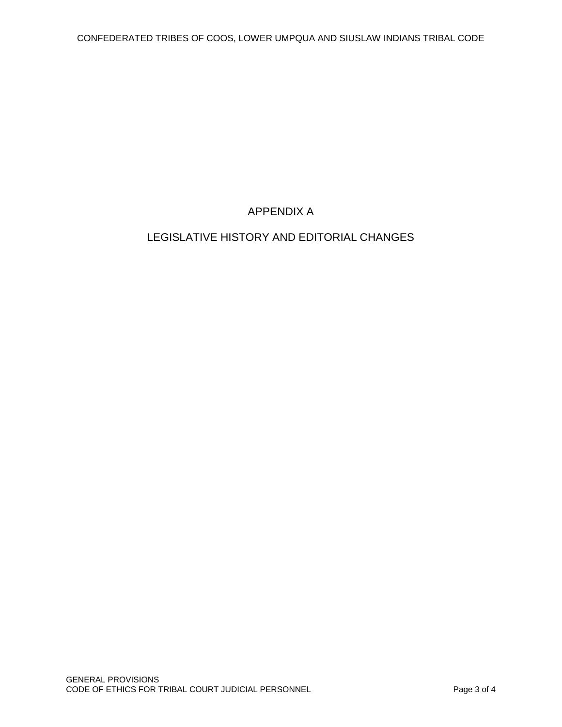# APPENDIX A

# LEGISLATIVE HISTORY AND EDITORIAL CHANGES